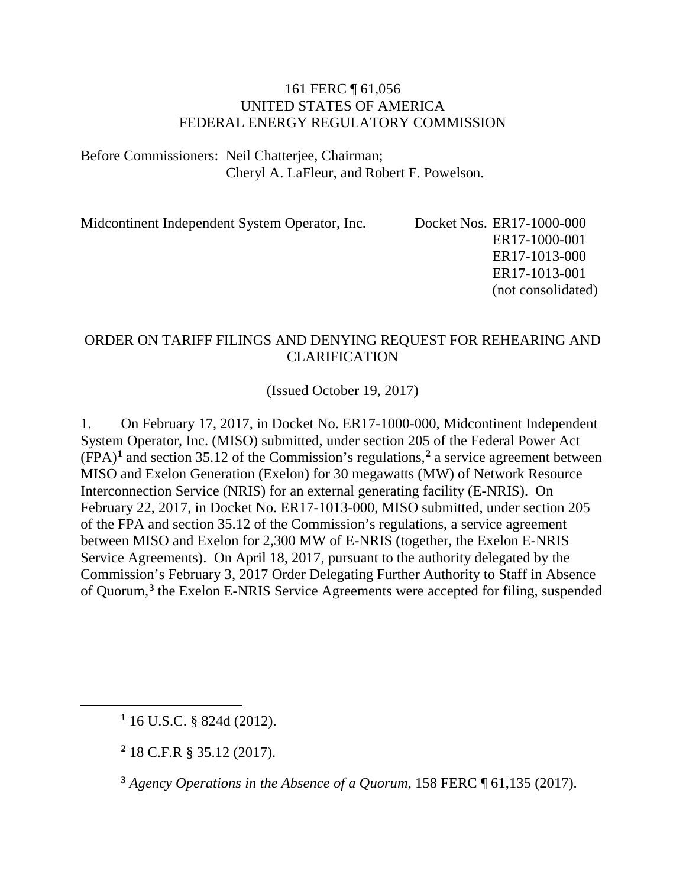#### 161 FERC ¶ 61,056 UNITED STATES OF AMERICA FEDERAL ENERGY REGULATORY COMMISSION

Before Commissioners: Neil Chatterjee, Chairman; Cheryl A. LaFleur, and Robert F. Powelson.

Midcontinent Independent System Operator, Inc. Docket Nos. ER17-1000-000

ER17-1000-001 ER17-1013-000 ER17-1013-001 (not consolidated)

#### ORDER ON TARIFF FILINGS AND DENYING REQUEST FOR REHEARING AND CLARIFICATION

(Issued October 19, 2017)

1. On February 17, 2017, in Docket No. ER17-1000-000, Midcontinent Independent System Operator, Inc. (MISO) submitted, under section 205 of the Federal Power Act (FPA)**[1](#page-0-0)** and section 35.12 of the Commission's regulations,**[2](#page-0-1)** a service agreement between MISO and Exelon Generation (Exelon) for 30 megawatts (MW) of Network Resource Interconnection Service (NRIS) for an external generating facility (E-NRIS). On February 22, 2017, in Docket No. ER17-1013-000, MISO submitted, under section 205 of the FPA and section 35.12 of the Commission's regulations, a service agreement between MISO and Exelon for 2,300 MW of E-NRIS (together, the Exelon E-NRIS Service Agreements). On April 18, 2017, pursuant to the authority delegated by the Commission's February 3, 2017 Order Delegating Further Authority to Staff in Absence of Quorum,**[3](#page-0-2)** the Exelon E-NRIS Service Agreements were accepted for filing, suspended

<span id="page-0-2"></span><span id="page-0-1"></span><span id="page-0-0"></span> $\overline{a}$ 

**<sup>2</sup>** 18 C.F.R § 35.12 (2017).

**<sup>3</sup>** *Agency Operations in the Absence of a Quorum*, 158 FERC ¶ 61,135 (2017).

**<sup>1</sup>** 16 U.S.C. § 824d (2012).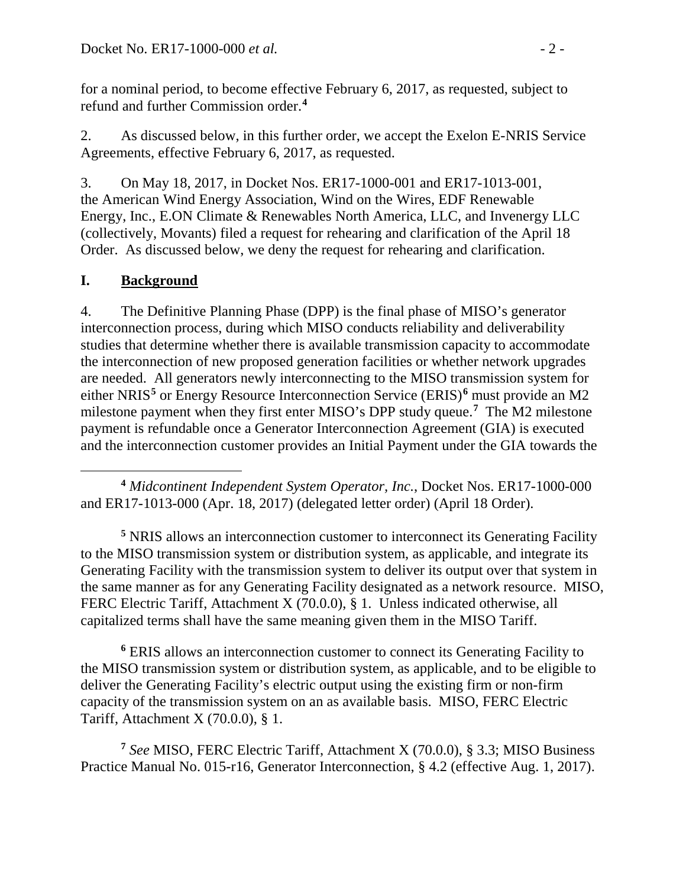for a nominal period, to become effective February 6, 2017, as requested, subject to refund and further Commission order.**[4](#page-1-0)**

2. As discussed below, in this further order, we accept the Exelon E-NRIS Service Agreements, effective February 6, 2017, as requested.

3. On May 18, 2017, in Docket Nos. ER17-1000-001 and ER17-1013-001, the American Wind Energy Association, Wind on the Wires, EDF Renewable Energy, Inc., E.ON Climate & Renewables North America, LLC, and Invenergy LLC (collectively, Movants) filed a request for rehearing and clarification of the April 18 Order. As discussed below, we deny the request for rehearing and clarification.

# **I. Background**

4. The Definitive Planning Phase (DPP) is the final phase of MISO's generator interconnection process, during which MISO conducts reliability and deliverability studies that determine whether there is available transmission capacity to accommodate the interconnection of new proposed generation facilities or whether network upgrades are needed. All generators newly interconnecting to the MISO transmission system for either NRIS**[5](#page-1-1)** or Energy Resource Interconnection Service (ERIS)**[6](#page-1-2)** must provide an M2 milestone payment when they first enter MISO's DPP study queue.**[7](#page-1-3)** The M2 milestone payment is refundable once a Generator Interconnection Agreement (GIA) is executed and the interconnection customer provides an Initial Payment under the GIA towards the

<span id="page-1-0"></span> $\overline{a}$ **<sup>4</sup>** *Midcontinent Independent System Operator, Inc.*, Docket Nos. ER17-1000-000 and ER17-1013-000 (Apr. 18, 2017) (delegated letter order) (April 18 Order).

<span id="page-1-1"></span>**<sup>5</sup>** NRIS allows an interconnection customer to interconnect its Generating Facility to the MISO transmission system or distribution system, as applicable, and integrate its Generating Facility with the transmission system to deliver its output over that system in the same manner as for any Generating Facility designated as a network resource. MISO, FERC Electric Tariff, Attachment X (70.0.0), § 1. Unless indicated otherwise, all capitalized terms shall have the same meaning given them in the MISO Tariff.

<span id="page-1-2"></span>**<sup>6</sup>** ERIS allows an interconnection customer to connect its Generating Facility to the MISO transmission system or distribution system, as applicable, and to be eligible to deliver the Generating Facility's electric output using the existing firm or non-firm capacity of the transmission system on an as available basis. MISO, FERC Electric Tariff, Attachment X (70.0.0), § 1.

<span id="page-1-3"></span>**<sup>7</sup>** *See* MISO, FERC Electric Tariff, Attachment X (70.0.0), § 3.3; MISO Business Practice Manual No. 015-r16, Generator Interconnection, § 4.2 (effective Aug. 1, 2017).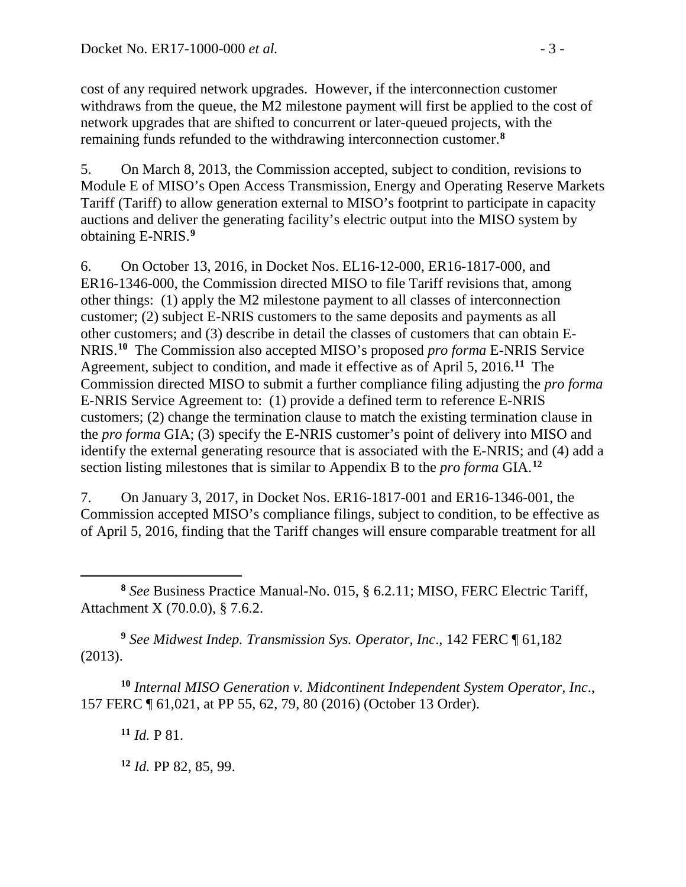cost of any required network upgrades. However, if the interconnection customer withdraws from the queue, the M2 milestone payment will first be applied to the cost of network upgrades that are shifted to concurrent or later-queued projects, with the remaining funds refunded to the withdrawing interconnection customer.**[8](#page-2-0)**

5. On March 8, 2013, the Commission accepted, subject to condition, revisions to Module E of MISO's Open Access Transmission, Energy and Operating Reserve Markets Tariff (Tariff) to allow generation external to MISO's footprint to participate in capacity auctions and deliver the generating facility's electric output into the MISO system by obtaining E-NRIS.**[9](#page-2-1)**

6. On October 13, 2016, in Docket Nos. EL16-12-000, ER16-1817-000, and ER16-1346-000, the Commission directed MISO to file Tariff revisions that, among other things: (1) apply the M2 milestone payment to all classes of interconnection customer; (2) subject E-NRIS customers to the same deposits and payments as all other customers; and (3) describe in detail the classes of customers that can obtain E-NRIS. **[10](#page-2-2)** The Commission also accepted MISO's proposed *pro forma* E-NRIS Service Agreement, subject to condition, and made it effective as of April 5, 2016.**[11](#page-2-3)** The Commission directed MISO to submit a further compliance filing adjusting the *pro forma*  E-NRIS Service Agreement to: (1) provide a defined term to reference E-NRIS customers; (2) change the termination clause to match the existing termination clause in the *pro forma* GIA; (3) specify the E-NRIS customer's point of delivery into MISO and identify the external generating resource that is associated with the E-NRIS; and (4) add a section listing milestones that is similar to Appendix B to the *pro forma* GIA. **[12](#page-2-4)**

7. On January 3, 2017, in Docket Nos. ER16-1817-001 and ER16-1346-001, the Commission accepted MISO's compliance filings, subject to condition, to be effective as of April 5, 2016, finding that the Tariff changes will ensure comparable treatment for all

<span id="page-2-1"></span>**<sup>9</sup>** *See Midwest Indep. Transmission Sys. Operator, Inc*., 142 FERC ¶ 61,182 (2013).

<span id="page-2-4"></span><span id="page-2-3"></span><span id="page-2-2"></span>**<sup>10</sup>** *Internal MISO Generation v. Midcontinent Independent System Operator, Inc*., 157 FERC ¶ 61,021, at PP 55, 62, 79, 80 (2016) (October 13 Order).

**<sup>11</sup>** *Id.* P 81.

**<sup>12</sup>** *Id.* PP 82, 85, 99.

<span id="page-2-0"></span> $\overline{a}$ **<sup>8</sup>** *See* Business Practice Manual-No. 015, § 6.2.11; MISO, FERC Electric Tariff, Attachment X (70.0.0), § 7.6.2.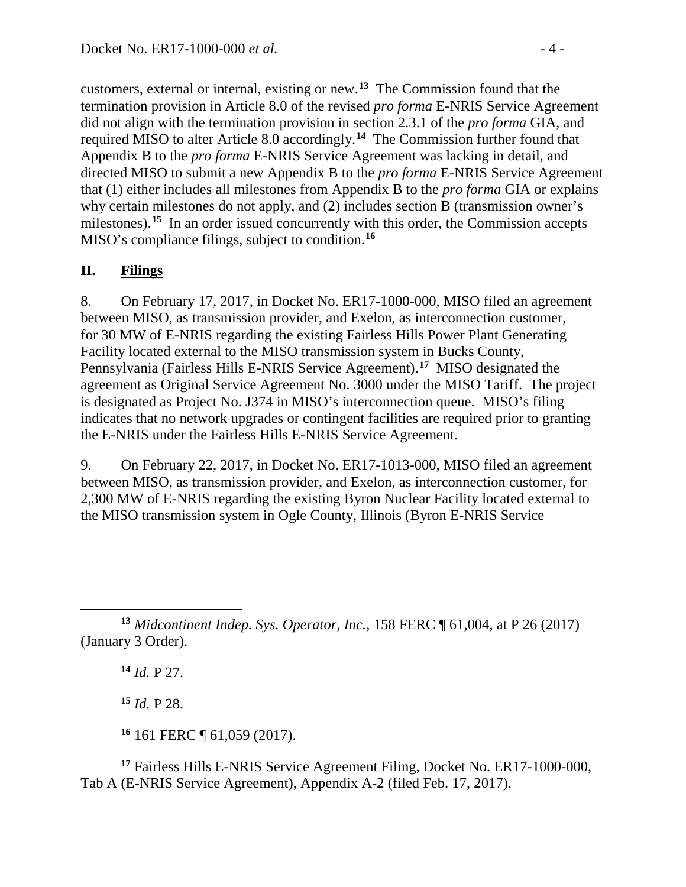customers, external or internal, existing or new.**[13](#page-3-0)** The Commission found that the termination provision in Article 8.0 of the revised *pro forma* E-NRIS Service Agreement did not align with the termination provision in section 2.3.1 of the *pro forma* GIA, and required MISO to alter Article 8.0 accordingly.**[14](#page-3-1)** The Commission further found that Appendix B to the *pro forma* E-NRIS Service Agreement was lacking in detail, and directed MISO to submit a new Appendix B to the *pro forma* E-NRIS Service Agreement that (1) either includes all milestones from Appendix B to the *pro forma* GIA or explains why certain milestones do not apply, and (2) includes section B (transmission owner's milestones).<sup>[15](#page-3-2)</sup> In an order issued concurrently with this order, the Commission accepts MISO's compliance filings, subject to condition. **[16](#page-3-3)**

## **II. Filings**

8. On February 17, 2017, in Docket No. ER17-1000-000, MISO filed an agreement between MISO, as transmission provider, and Exelon, as interconnection customer, for 30 MW of E-NRIS regarding the existing Fairless Hills Power Plant Generating Facility located external to the MISO transmission system in Bucks County, Pennsylvania (Fairless Hills E-NRIS Service Agreement). **[17](#page-3-4)** MISO designated the agreement as Original Service Agreement No. 3000 under the MISO Tariff. The project is designated as Project No. J374 in MISO's interconnection queue. MISO's filing indicates that no network upgrades or contingent facilities are required prior to granting the E-NRIS under the Fairless Hills E-NRIS Service Agreement.

9. On February 22, 2017, in Docket No. ER17-1013-000, MISO filed an agreement between MISO, as transmission provider, and Exelon, as interconnection customer, for 2,300 MW of E-NRIS regarding the existing Byron Nuclear Facility located external to the MISO transmission system in Ogle County, Illinois (Byron E-NRIS Service

**<sup>14</sup>** *Id.* P 27.

**<sup>15</sup>** *Id.* P 28.

**<sup>16</sup>** 161 FERC ¶ 61,059 (2017).

<span id="page-3-4"></span><span id="page-3-3"></span><span id="page-3-2"></span>**<sup>17</sup>** Fairless Hills E-NRIS Service Agreement Filing, Docket No. ER17-1000-000, Tab A (E-NRIS Service Agreement), Appendix A-2 (filed Feb. 17, 2017).

<span id="page-3-1"></span><span id="page-3-0"></span> $\overline{a}$ **<sup>13</sup>** *Midcontinent Indep. Sys. Operator, Inc.*, 158 FERC ¶ 61,004, at P 26 (2017) (January 3 Order).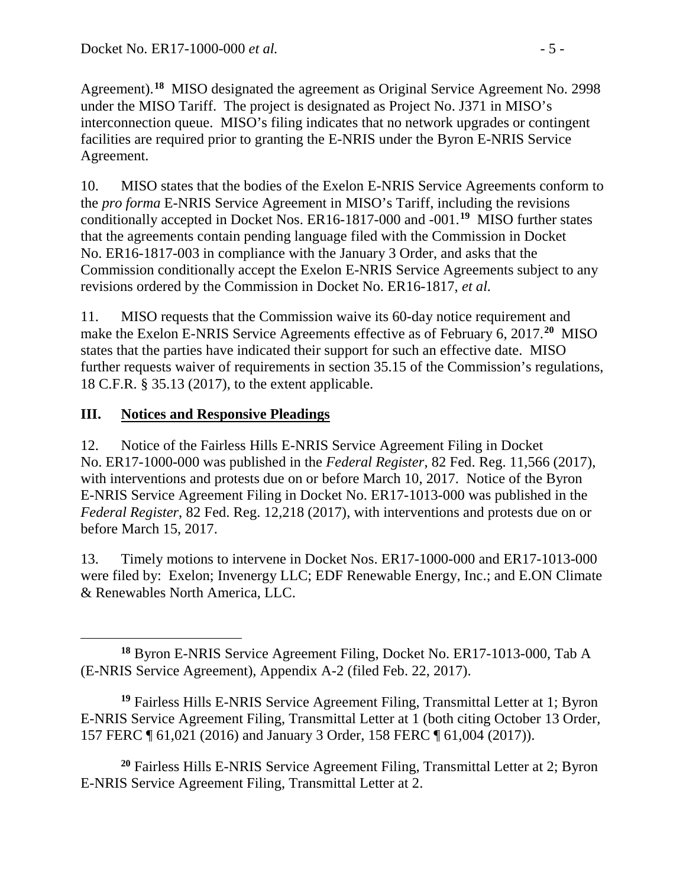Agreement).**[18](#page-4-0)** MISO designated the agreement as Original Service Agreement No. 2998 under the MISO Tariff. The project is designated as Project No. J371 in MISO's interconnection queue. MISO's filing indicates that no network upgrades or contingent facilities are required prior to granting the E-NRIS under the Byron E-NRIS Service Agreement.

10. MISO states that the bodies of the Exelon E-NRIS Service Agreements conform to the *pro forma* E-NRIS Service Agreement in MISO's Tariff, including the revisions conditionally accepted in Docket Nos. ER16-1817-000 and -001. **[19](#page-4-1)** MISO further states that the agreements contain pending language filed with the Commission in Docket No. ER16-1817-003 in compliance with the January 3 Order, and asks that the Commission conditionally accept the Exelon E-NRIS Service Agreements subject to any revisions ordered by the Commission in Docket No. ER16-1817, *et al.*

11. MISO requests that the Commission waive its 60-day notice requirement and make the Exelon E-NRIS Service Agreements effective as of February 6, 2017.**[20](#page-4-2)** MISO states that the parties have indicated their support for such an effective date. MISO further requests waiver of requirements in section 35.15 of the Commission's regulations, 18 C.F.R. § 35.13 (2017), to the extent applicable.

## **III. Notices and Responsive Pleadings**

12. Notice of the Fairless Hills E-NRIS Service Agreement Filing in Docket No. ER17-1000-000 was published in the *Federal Register*, 82 Fed. Reg. 11,566 (2017), with interventions and protests due on or before March 10, 2017. Notice of the Byron E-NRIS Service Agreement Filing in Docket No. ER17-1013-000 was published in the *Federal Register*, 82 Fed. Reg. 12,218 (2017), with interventions and protests due on or before March 15, 2017.

13. Timely motions to intervene in Docket Nos. ER17-1000-000 and ER17-1013-000 were filed by: Exelon; Invenergy LLC; EDF Renewable Energy, Inc.; and E.ON Climate & Renewables North America, LLC.

<span id="page-4-2"></span>**<sup>20</sup>** Fairless Hills E-NRIS Service Agreement Filing, Transmittal Letter at 2; Byron E-NRIS Service Agreement Filing, Transmittal Letter at 2.

<span id="page-4-0"></span> $\overline{a}$ **<sup>18</sup>** Byron E-NRIS Service Agreement Filing, Docket No. ER17-1013-000, Tab A (E-NRIS Service Agreement), Appendix A-2 (filed Feb. 22, 2017).

<span id="page-4-1"></span>**<sup>19</sup>** Fairless Hills E-NRIS Service Agreement Filing, Transmittal Letter at 1; Byron E-NRIS Service Agreement Filing, Transmittal Letter at 1 (both citing October 13 Order, 157 FERC ¶ 61,021 (2016) and January 3 Order, 158 FERC ¶ 61,004 (2017)).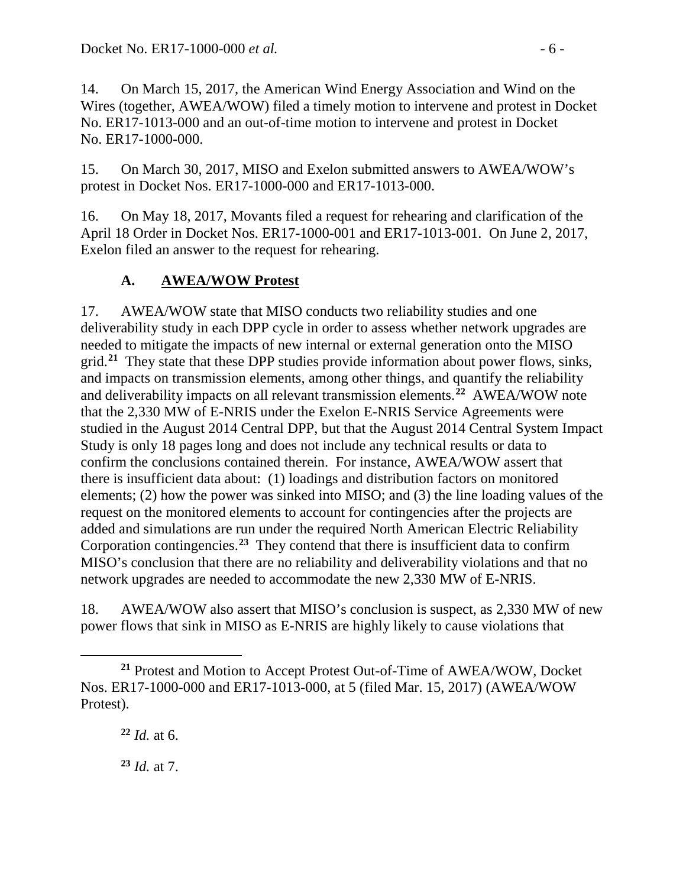14. On March 15, 2017, the American Wind Energy Association and Wind on the Wires (together, AWEA/WOW) filed a timely motion to intervene and protest in Docket No. ER17-1013-000 and an out-of-time motion to intervene and protest in Docket No. ER17-1000-000.

15. On March 30, 2017, MISO and Exelon submitted answers to AWEA/WOW's protest in Docket Nos. ER17-1000-000 and ER17-1013-000.

16. On May 18, 2017, Movants filed a request for rehearing and clarification of the April 18 Order in Docket Nos. ER17-1000-001 and ER17-1013-001. On June 2, 2017, Exelon filed an answer to the request for rehearing.

## **A. AWEA/WOW Protest**

17. AWEA/WOW state that MISO conducts two reliability studies and one deliverability study in each DPP cycle in order to assess whether network upgrades are needed to mitigate the impacts of new internal or external generation onto the MISO grid.**[21](#page-5-0)** They state that these DPP studies provide information about power flows, sinks, and impacts on transmission elements, among other things, and quantify the reliability and deliverability impacts on all relevant transmission elements.**[22](#page-5-1)** AWEA/WOW note that the 2,330 MW of E-NRIS under the Exelon E-NRIS Service Agreements were studied in the August 2014 Central DPP, but that the August 2014 Central System Impact Study is only 18 pages long and does not include any technical results or data to confirm the conclusions contained therein. For instance, AWEA/WOW assert that there is insufficient data about: (1) loadings and distribution factors on monitored elements; (2) how the power was sinked into MISO; and (3) the line loading values of the request on the monitored elements to account for contingencies after the projects are added and simulations are run under the required North American Electric Reliability Corporation contingencies.**[23](#page-5-2)** They contend that there is insufficient data to confirm MISO's conclusion that there are no reliability and deliverability violations and that no network upgrades are needed to accommodate the new 2,330 MW of E-NRIS.

18. AWEA/WOW also assert that MISO's conclusion is suspect, as 2,330 MW of new power flows that sink in MISO as E-NRIS are highly likely to cause violations that

**<sup>22</sup>** *Id.* at 6.

 $\overline{a}$ 

<span id="page-5-2"></span>**<sup>23</sup>** *Id.* at 7.

<span id="page-5-1"></span><span id="page-5-0"></span>**<sup>21</sup>** Protest and Motion to Accept Protest Out-of-Time of AWEA/WOW, Docket Nos. ER17-1000-000 and ER17-1013-000, at 5 (filed Mar. 15, 2017) (AWEA/WOW Protest).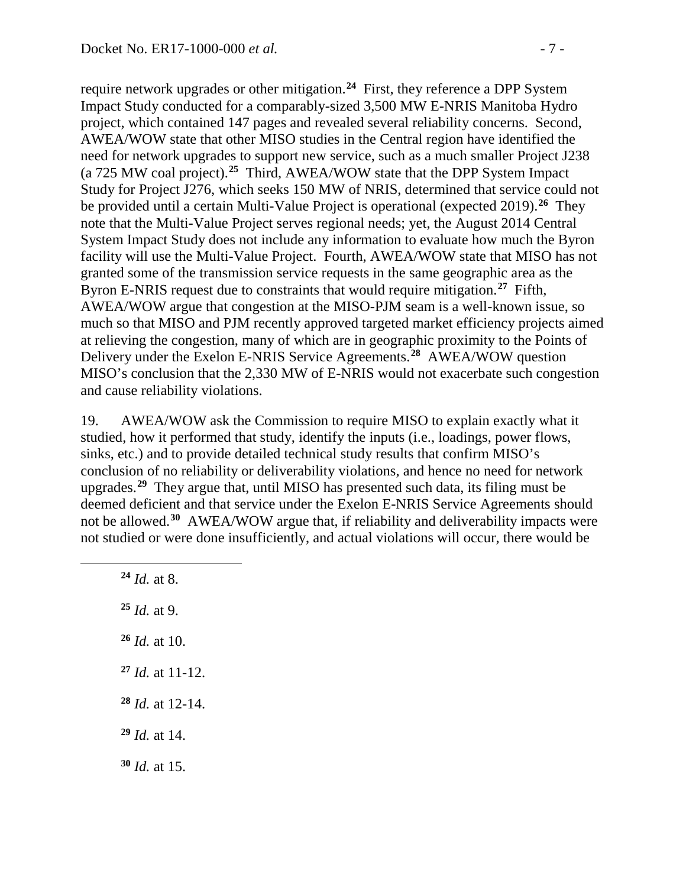require network upgrades or other mitigation.**[24](#page-6-0)** First, they reference a DPP System Impact Study conducted for a comparably-sized 3,500 MW E-NRIS Manitoba Hydro project, which contained 147 pages and revealed several reliability concerns. Second, AWEA/WOW state that other MISO studies in the Central region have identified the need for network upgrades to support new service, such as a much smaller Project J238 (a 725 MW coal project).**[25](#page-6-1)** Third, AWEA/WOW state that the DPP System Impact Study for Project J276, which seeks 150 MW of NRIS, determined that service could not be provided until a certain Multi-Value Project is operational (expected 2019).**[26](#page-6-2)** They note that the Multi-Value Project serves regional needs; yet, the August 2014 Central System Impact Study does not include any information to evaluate how much the Byron facility will use the Multi-Value Project. Fourth, AWEA/WOW state that MISO has not granted some of the transmission service requests in the same geographic area as the Byron E-NRIS request due to constraints that would require mitigation.**[27](#page-6-3)** Fifth, AWEA/WOW argue that congestion at the MISO-PJM seam is a well-known issue, so much so that MISO and PJM recently approved targeted market efficiency projects aimed at relieving the congestion, many of which are in geographic proximity to the Points of Delivery under the Exelon E-NRIS Service Agreements.**[28](#page-6-4)** AWEA/WOW question MISO's conclusion that the 2,330 MW of E-NRIS would not exacerbate such congestion and cause reliability violations.

19. AWEA/WOW ask the Commission to require MISO to explain exactly what it studied, how it performed that study, identify the inputs (i.e., loadings, power flows, sinks, etc.) and to provide detailed technical study results that confirm MISO's conclusion of no reliability or deliverability violations, and hence no need for network upgrades.**[29](#page-6-5)** They argue that, until MISO has presented such data, its filing must be deemed deficient and that service under the Exelon E-NRIS Service Agreements should not be allowed.**[30](#page-6-6)** AWEA/WOW argue that, if reliability and deliverability impacts were not studied or were done insufficiently, and actual violations will occur, there would be

 *Id.* at 8. *Id.* at 9. *Id.* at 10. *Id.* at 11-12. *Id.* at 12-14. *Id.* at 14. *Id.* at 15.

<span id="page-6-6"></span><span id="page-6-5"></span><span id="page-6-4"></span><span id="page-6-3"></span><span id="page-6-2"></span><span id="page-6-1"></span><span id="page-6-0"></span> $\overline{a}$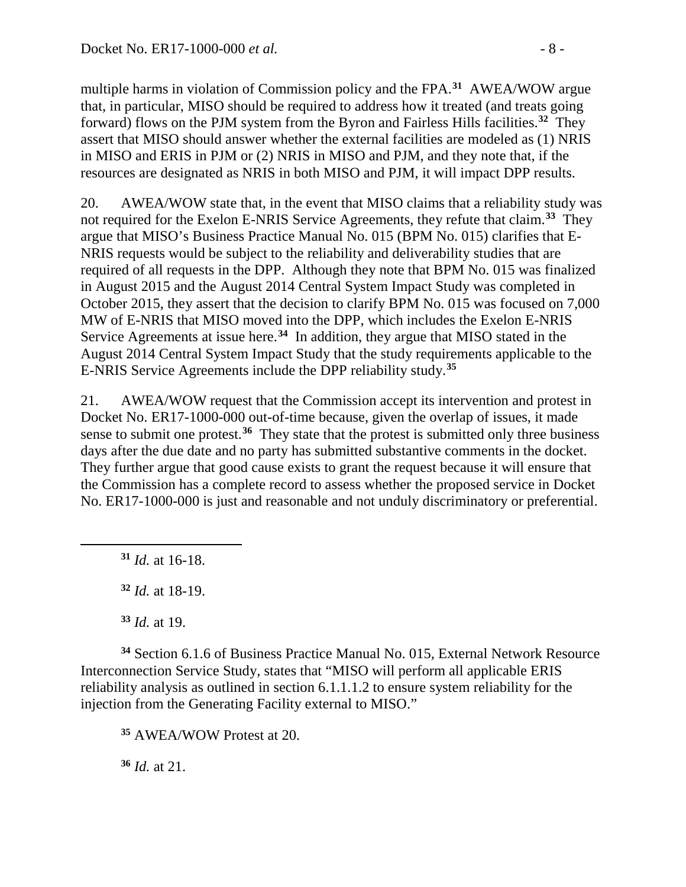multiple harms in violation of Commission policy and the FPA.**[31](#page-7-0)** AWEA/WOW argue that, in particular, MISO should be required to address how it treated (and treats going forward) flows on the PJM system from the Byron and Fairless Hills facilities.**[32](#page-7-1)** They assert that MISO should answer whether the external facilities are modeled as (1) NRIS in MISO and ERIS in PJM or (2) NRIS in MISO and PJM, and they note that, if the resources are designated as NRIS in both MISO and PJM, it will impact DPP results.

20. AWEA/WOW state that, in the event that MISO claims that a reliability study was not required for the Exelon E-NRIS Service Agreements, they refute that claim.**[33](#page-7-2)** They argue that MISO's Business Practice Manual No. 015 (BPM No. 015) clarifies that E-NRIS requests would be subject to the reliability and deliverability studies that are required of all requests in the DPP. Although they note that BPM No. 015 was finalized in August 2015 and the August 2014 Central System Impact Study was completed in October 2015, they assert that the decision to clarify BPM No. 015 was focused on 7,000 MW of E-NRIS that MISO moved into the DPP, which includes the Exelon E-NRIS Service Agreements at issue here.**[34](#page-7-3)** In addition, they argue that MISO stated in the August 2014 Central System Impact Study that the study requirements applicable to the E-NRIS Service Agreements include the DPP reliability study.**[35](#page-7-4)**

21. AWEA/WOW request that the Commission accept its intervention and protest in Docket No. ER17-1000-000 out-of-time because, given the overlap of issues, it made sense to submit one protest.<sup>[36](#page-7-5)</sup> They state that the protest is submitted only three business days after the due date and no party has submitted substantive comments in the docket. They further argue that good cause exists to grant the request because it will ensure that the Commission has a complete record to assess whether the proposed service in Docket No. ER17-1000-000 is just and reasonable and not unduly discriminatory or preferential.

**<sup>31</sup>** *Id.* at 16-18.

<span id="page-7-1"></span><span id="page-7-0"></span> $\overline{a}$ 

**<sup>32</sup>** *Id.* at 18-19.

**<sup>33</sup>** *Id.* at 19.

<span id="page-7-4"></span><span id="page-7-3"></span><span id="page-7-2"></span>**<sup>34</sup>** Section 6.1.6 of Business Practice Manual No. 015, External Network Resource Interconnection Service Study, states that "MISO will perform all applicable ERIS reliability analysis as outlined in section 6.1.1.1.2 to ensure system reliability for the injection from the Generating Facility external to MISO."

**<sup>35</sup>** AWEA/WOW Protest at 20.

<span id="page-7-5"></span>**<sup>36</sup>** *Id.* at 21.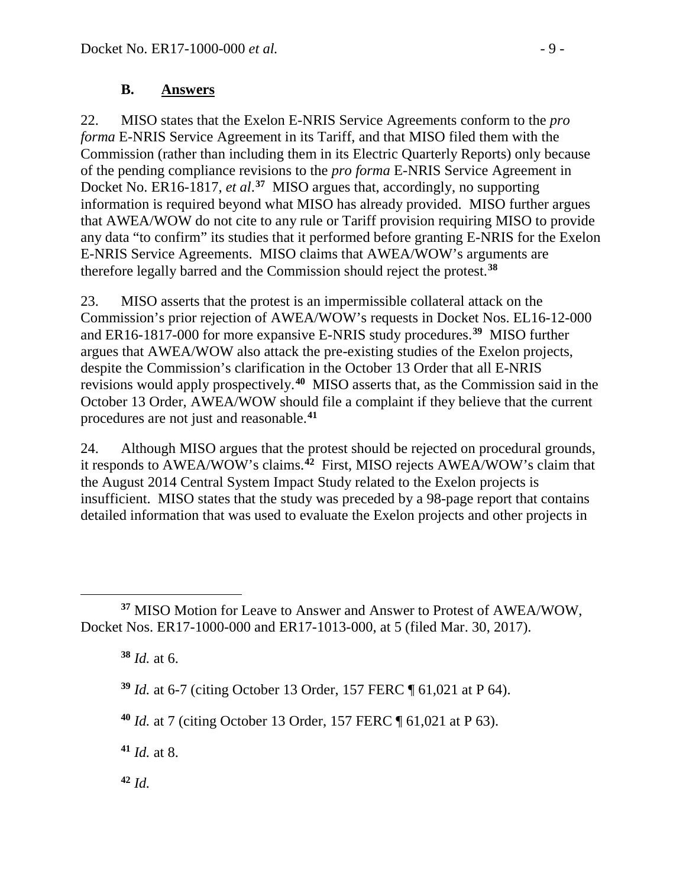#### **B. Answers**

22. MISO states that the Exelon E-NRIS Service Agreements conform to the *pro forma* E-NRIS Service Agreement in its Tariff, and that MISO filed them with the Commission (rather than including them in its Electric Quarterly Reports) only because of the pending compliance revisions to the *pro forma* E-NRIS Service Agreement in Docket No. ER16-1817, *et al*. **[37](#page-8-0)** MISO argues that, accordingly, no supporting information is required beyond what MISO has already provided. MISO further argues that AWEA/WOW do not cite to any rule or Tariff provision requiring MISO to provide any data "to confirm" its studies that it performed before granting E-NRIS for the Exelon E-NRIS Service Agreements. MISO claims that AWEA/WOW's arguments are therefore legally barred and the Commission should reject the protest.**[38](#page-8-1)**

23. MISO asserts that the protest is an impermissible collateral attack on the Commission's prior rejection of AWEA/WOW's requests in Docket Nos. EL16-12-000 and ER16-1817-000 for more expansive E-NRIS study procedures. **[39](#page-8-2)** MISO further argues that AWEA/WOW also attack the pre-existing studies of the Exelon projects, despite the Commission's clarification in the October 13 Order that all E-NRIS revisions would apply prospectively.**[40](#page-8-3)** MISO asserts that, as the Commission said in the October 13 Order, AWEA/WOW should file a complaint if they believe that the current procedures are not just and reasonable. **[41](#page-8-4)**

24. Although MISO argues that the protest should be rejected on procedural grounds, it responds to AWEA/WOW's claims.**[42](#page-8-5)** First, MISO rejects AWEA/WOW's claim that the August 2014 Central System Impact Study related to the Exelon projects is insufficient. MISO states that the study was preceded by a 98-page report that contains detailed information that was used to evaluate the Exelon projects and other projects in

**<sup>38</sup>** *Id.* at 6.

 $\overline{a}$ 

**<sup>39</sup>** *Id.* at 6-7 (citing October 13 Order, 157 FERC ¶ 61,021 at P 64).

<span id="page-8-3"></span>**<sup>40</sup>** *Id.* at 7 (citing October 13 Order, 157 FERC ¶ 61,021 at P 63).

<span id="page-8-4"></span>**<sup>41</sup>** *Id.* at 8.

<span id="page-8-5"></span>**<sup>42</sup>** *Id.*

<span id="page-8-2"></span><span id="page-8-1"></span><span id="page-8-0"></span>**<sup>37</sup>** MISO Motion for Leave to Answer and Answer to Protest of AWEA/WOW, Docket Nos. ER17-1000-000 and ER17-1013-000, at 5 (filed Mar. 30, 2017).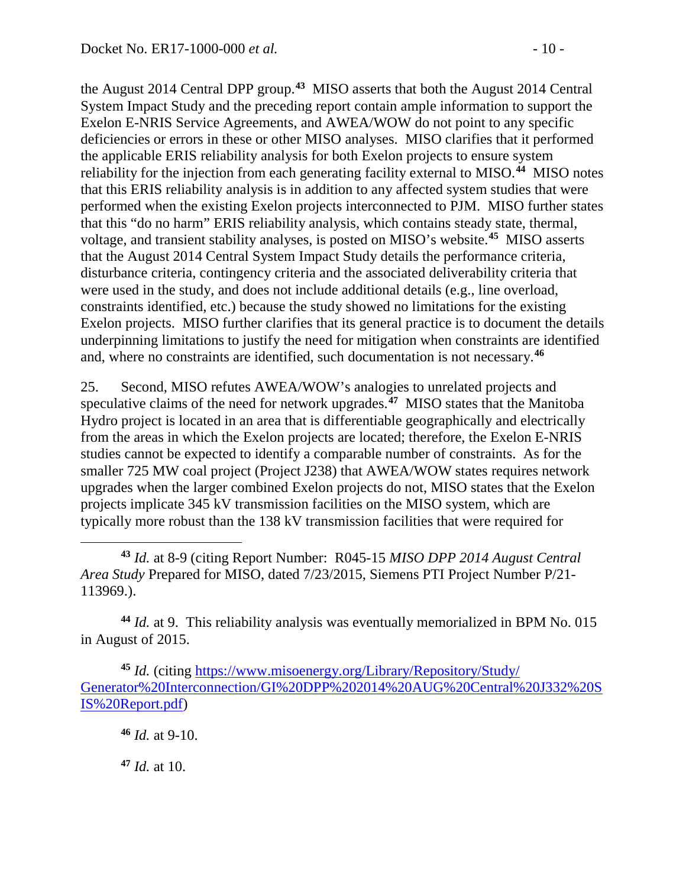the August 2014 Central DPP group.**[43](#page-9-0)** MISO asserts that both the August 2014 Central System Impact Study and the preceding report contain ample information to support the Exelon E-NRIS Service Agreements, and AWEA/WOW do not point to any specific deficiencies or errors in these or other MISO analyses. MISO clarifies that it performed the applicable ERIS reliability analysis for both Exelon projects to ensure system reliability for the injection from each generating facility external to MISO.**[44](#page-9-1)** MISO notes that this ERIS reliability analysis is in addition to any affected system studies that were performed when the existing Exelon projects interconnected to PJM. MISO further states that this "do no harm" ERIS reliability analysis, which contains steady state, thermal, voltage, and transient stability analyses, is posted on MISO's website.**[45](#page-9-2)** MISO asserts that the August 2014 Central System Impact Study details the performance criteria, disturbance criteria, contingency criteria and the associated deliverability criteria that were used in the study, and does not include additional details (e.g., line overload, constraints identified, etc.) because the study showed no limitations for the existing Exelon projects. MISO further clarifies that its general practice is to document the details underpinning limitations to justify the need for mitigation when constraints are identified and, where no constraints are identified, such documentation is not necessary. **[46](#page-9-3)**

25. Second, MISO refutes AWEA/WOW's analogies to unrelated projects and speculative claims of the need for network upgrades.**[47](#page-9-4)** MISO states that the Manitoba Hydro project is located in an area that is differentiable geographically and electrically from the areas in which the Exelon projects are located; therefore, the Exelon E-NRIS studies cannot be expected to identify a comparable number of constraints. As for the smaller 725 MW coal project (Project J238) that AWEA/WOW states requires network upgrades when the larger combined Exelon projects do not, MISO states that the Exelon projects implicate 345 kV transmission facilities on the MISO system, which are typically more robust than the 138 kV transmission facilities that were required for

<span id="page-9-1"></span>**<sup>44</sup>** *Id.* at 9. This reliability analysis was eventually memorialized in BPM No. 015 in August of 2015.

**<sup>46</sup>** *Id.* at 9-10.

 $\overline{a}$ 

<span id="page-9-4"></span>**<sup>47</sup>** *Id.* at 10.

<span id="page-9-0"></span>**<sup>43</sup>** *Id.* at 8-9 (citing Report Number: R045-15 *MISO DPP 2014 August Central Area Study* Prepared for MISO, dated 7/23/2015, Siemens PTI Project Number P/21- 113969.).

<span id="page-9-3"></span><span id="page-9-2"></span>**<sup>45</sup>** *Id.* (citing [https://www.misoenergy.org/Library/Repository/Study/](https://www.misoenergy.org/Library/Repository/Study/%20Generator%20Interconnection/GI%20DPP%202014%20AUG%20Central%20J332%20SIS%20Report.pdf)  [Generator%20Interconnection/GI%20DPP%202014%20AUG%20Central%20J332%20S](https://www.misoenergy.org/Library/Repository/Study/%20Generator%20Interconnection/GI%20DPP%202014%20AUG%20Central%20J332%20SIS%20Report.pdf) [IS%20Report.pdf\)](https://www.misoenergy.org/Library/Repository/Study/%20Generator%20Interconnection/GI%20DPP%202014%20AUG%20Central%20J332%20SIS%20Report.pdf)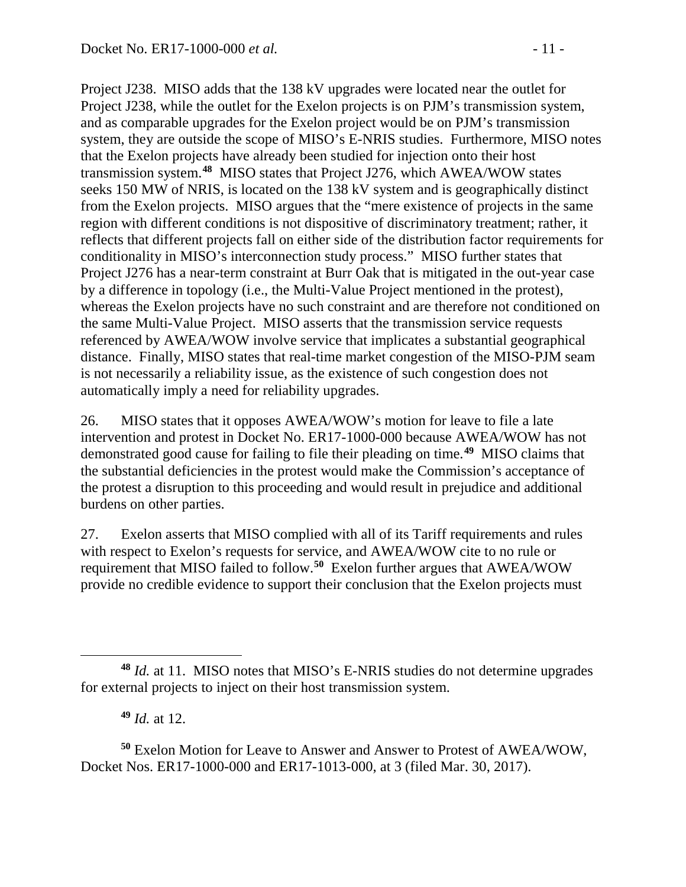Project J238. MISO adds that the 138 kV upgrades were located near the outlet for Project J238, while the outlet for the Exelon projects is on PJM's transmission system, and as comparable upgrades for the Exelon project would be on PJM's transmission system, they are outside the scope of MISO's E-NRIS studies. Furthermore, MISO notes that the Exelon projects have already been studied for injection onto their host transmission system.**[48](#page-10-0)** MISO states that Project J276, which AWEA/WOW states seeks 150 MW of NRIS, is located on the 138 kV system and is geographically distinct from the Exelon projects. MISO argues that the "mere existence of projects in the same region with different conditions is not dispositive of discriminatory treatment; rather, it reflects that different projects fall on either side of the distribution factor requirements for conditionality in MISO's interconnection study process." MISO further states that Project J276 has a near-term constraint at Burr Oak that is mitigated in the out-year case by a difference in topology (i.e., the Multi-Value Project mentioned in the protest), whereas the Exelon projects have no such constraint and are therefore not conditioned on the same Multi-Value Project. MISO asserts that the transmission service requests referenced by AWEA/WOW involve service that implicates a substantial geographical distance. Finally, MISO states that real-time market congestion of the MISO-PJM seam is not necessarily a reliability issue, as the existence of such congestion does not automatically imply a need for reliability upgrades.

26. MISO states that it opposes AWEA/WOW's motion for leave to file a late intervention and protest in Docket No. ER17-1000-000 because AWEA/WOW has not demonstrated good cause for failing to file their pleading on time.**[49](#page-10-1)** MISO claims that the substantial deficiencies in the protest would make the Commission's acceptance of the protest a disruption to this proceeding and would result in prejudice and additional burdens on other parties.

27. Exelon asserts that MISO complied with all of its Tariff requirements and rules with respect to Exelon's requests for service, and AWEA/WOW cite to no rule or requirement that MISO failed to follow. **[50](#page-10-2)** Exelon further argues that AWEA/WOW provide no credible evidence to support their conclusion that the Exelon projects must

<span id="page-10-2"></span><span id="page-10-1"></span>**<sup>50</sup>** Exelon Motion for Leave to Answer and Answer to Protest of AWEA/WOW, Docket Nos. ER17-1000-000 and ER17-1013-000, at 3 (filed Mar. 30, 2017).

<span id="page-10-0"></span> $\overline{a}$ **<sup>48</sup>** *Id.* at 11. MISO notes that MISO's E-NRIS studies do not determine upgrades for external projects to inject on their host transmission system.

**<sup>49</sup>** *Id.* at 12.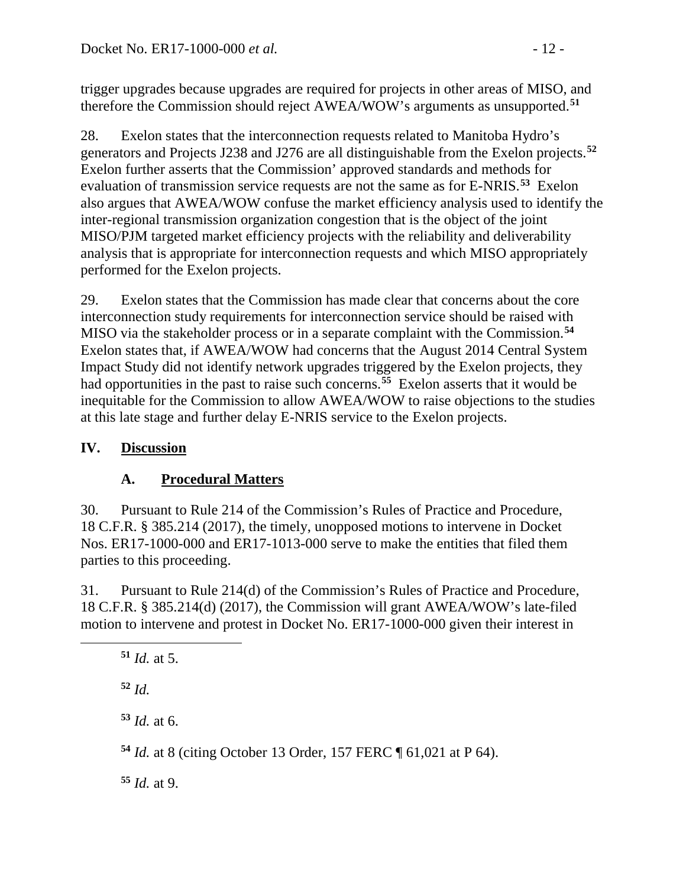trigger upgrades because upgrades are required for projects in other areas of MISO, and therefore the Commission should reject AWEA/WOW's arguments as unsupported.**[51](#page-11-0)**

28. Exelon states that the interconnection requests related to Manitoba Hydro's generators and Projects J238 and J276 are all distinguishable from the Exelon projects.**[52](#page-11-1)** Exelon further asserts that the Commission' approved standards and methods for evaluation of transmission service requests are not the same as for E-NRIS. **[53](#page-11-2)** Exelon also argues that AWEA/WOW confuse the market efficiency analysis used to identify the inter-regional transmission organization congestion that is the object of the joint MISO/PJM targeted market efficiency projects with the reliability and deliverability analysis that is appropriate for interconnection requests and which MISO appropriately performed for the Exelon projects.

29. Exelon states that the Commission has made clear that concerns about the core interconnection study requirements for interconnection service should be raised with MISO via the stakeholder process or in a separate complaint with the Commission.**[54](#page-11-3)** Exelon states that, if AWEA/WOW had concerns that the August 2014 Central System Impact Study did not identify network upgrades triggered by the Exelon projects, they had opportunities in the past to raise such concerns.**[55](#page-11-4)** Exelon asserts that it would be inequitable for the Commission to allow AWEA/WOW to raise objections to the studies at this late stage and further delay E-NRIS service to the Exelon projects.

## **IV. Discussion**

## **A. Procedural Matters**

30. Pursuant to Rule 214 of the Commission's Rules of Practice and Procedure, 18 C.F.R. § 385.214 (2017), the timely, unopposed motions to intervene in Docket Nos. ER17-1000-000 and ER17-1013-000 serve to make the entities that filed them parties to this proceeding.

31. Pursuant to Rule 214(d) of the Commission's Rules of Practice and Procedure, 18 C.F.R. § 385.214(d) (2017), the Commission will grant AWEA/WOW's late-filed motion to intervene and protest in Docket No. ER17-1000-000 given their interest in

<span id="page-11-2"></span><span id="page-11-1"></span><span id="page-11-0"></span> $\overline{a}$ 

**<sup>53</sup>** *Id.* at 6.

<span id="page-11-3"></span>**<sup>54</sup>** *Id.* at 8 (citing October 13 Order, 157 FERC ¶ 61,021 at P 64).

<span id="page-11-4"></span>**<sup>55</sup>** *Id.* at 9.

**<sup>51</sup>** *Id.* at 5.

**<sup>52</sup>** *Id.*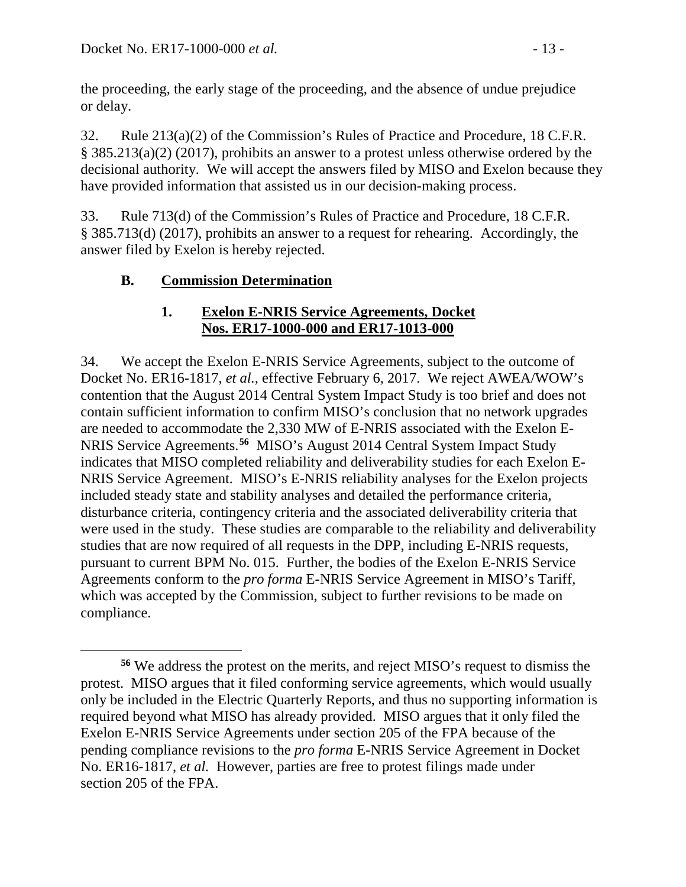the proceeding, the early stage of the proceeding, and the absence of undue prejudice or delay.

32. Rule 213(a)(2) of the Commission's Rules of Practice and Procedure, 18 C.F.R. § 385.213(a)(2) (2017), prohibits an answer to a protest unless otherwise ordered by the decisional authority. We will accept the answers filed by MISO and Exelon because they have provided information that assisted us in our decision-making process.

33. Rule 713(d) of the Commission's Rules of Practice and Procedure, 18 C.F.R. § 385.713(d) (2017), prohibits an answer to a request for rehearing. Accordingly, the answer filed by Exelon is hereby rejected.

## **B. Commission Determination**

#### **1. Exelon E-NRIS Service Agreements, Docket Nos. ER17-1000-000 and ER17-1013-000**

34. We accept the Exelon E-NRIS Service Agreements, subject to the outcome of Docket No. ER16-1817, *et al.,* effective February 6, 2017. We reject AWEA/WOW's contention that the August 2014 Central System Impact Study is too brief and does not contain sufficient information to confirm MISO's conclusion that no network upgrades are needed to accommodate the 2,330 MW of E-NRIS associated with the Exelon E-NRIS Service Agreements. **[56](#page-12-0)** MISO's August 2014 Central System Impact Study indicates that MISO completed reliability and deliverability studies for each Exelon E-NRIS Service Agreement. MISO's E-NRIS reliability analyses for the Exelon projects included steady state and stability analyses and detailed the performance criteria, disturbance criteria, contingency criteria and the associated deliverability criteria that were used in the study. These studies are comparable to the reliability and deliverability studies that are now required of all requests in the DPP, including E-NRIS requests, pursuant to current BPM No. 015. Further, the bodies of the Exelon E-NRIS Service Agreements conform to the *pro forma* E-NRIS Service Agreement in MISO's Tariff, which was accepted by the Commission, subject to further revisions to be made on compliance.

<span id="page-12-0"></span> $\overline{a}$ **<sup>56</sup>** We address the protest on the merits, and reject MISO's request to dismiss the protest. MISO argues that it filed conforming service agreements, which would usually only be included in the Electric Quarterly Reports, and thus no supporting information is required beyond what MISO has already provided. MISO argues that it only filed the Exelon E-NRIS Service Agreements under section 205 of the FPA because of the pending compliance revisions to the *pro forma* E-NRIS Service Agreement in Docket No. ER16-1817, *et al.* However, parties are free to protest filings made under section 205 of the FPA.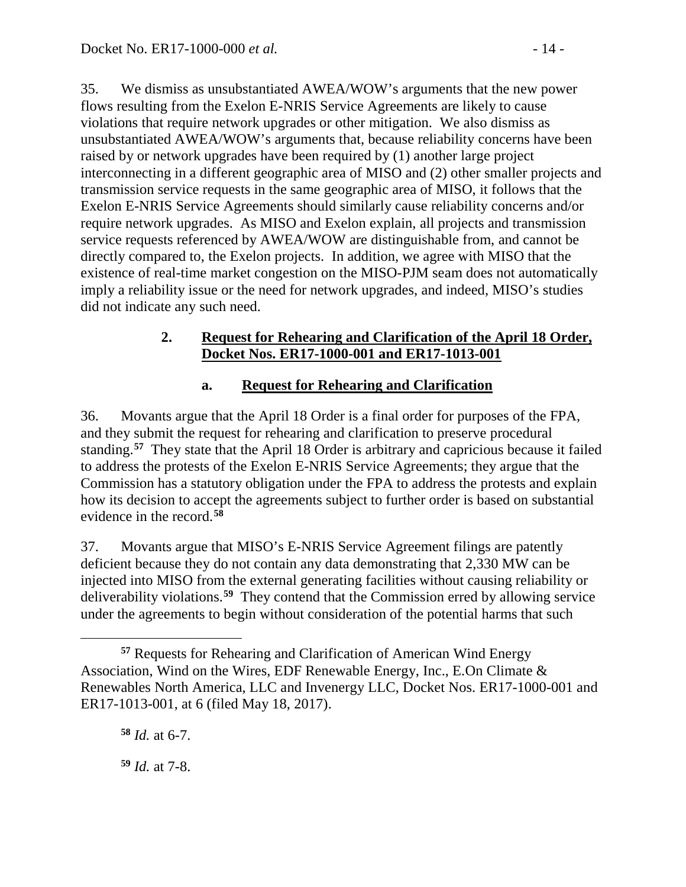35. We dismiss as unsubstantiated AWEA/WOW's arguments that the new power flows resulting from the Exelon E-NRIS Service Agreements are likely to cause violations that require network upgrades or other mitigation. We also dismiss as unsubstantiated AWEA/WOW's arguments that, because reliability concerns have been raised by or network upgrades have been required by (1) another large project interconnecting in a different geographic area of MISO and (2) other smaller projects and transmission service requests in the same geographic area of MISO, it follows that the Exelon E-NRIS Service Agreements should similarly cause reliability concerns and/or require network upgrades. As MISO and Exelon explain, all projects and transmission service requests referenced by AWEA/WOW are distinguishable from, and cannot be directly compared to, the Exelon projects. In addition, we agree with MISO that the existence of real-time market congestion on the MISO-PJM seam does not automatically imply a reliability issue or the need for network upgrades, and indeed, MISO's studies did not indicate any such need.

#### **2. Request for Rehearing and Clarification of the April 18 Order, Docket Nos. ER17-1000-001 and ER17-1013-001**

## **a. Request for Rehearing and Clarification**

36. Movants argue that the April 18 Order is a final order for purposes of the FPA, and they submit the request for rehearing and clarification to preserve procedural standing.**[57](#page-13-0)** They state that the April 18 Order is arbitrary and capricious because it failed to address the protests of the Exelon E-NRIS Service Agreements; they argue that the Commission has a statutory obligation under the FPA to address the protests and explain how its decision to accept the agreements subject to further order is based on substantial evidence in the record.**[58](#page-13-1)**

37. Movants argue that MISO's E-NRIS Service Agreement filings are patently deficient because they do not contain any data demonstrating that 2,330 MW can be injected into MISO from the external generating facilities without causing reliability or deliverability violations.**[59](#page-13-2)** They contend that the Commission erred by allowing service under the agreements to begin without consideration of the potential harms that such

 $\overline{a}$ 

<span id="page-13-2"></span>**<sup>59</sup>** *Id.* at 7-8.

<span id="page-13-1"></span><span id="page-13-0"></span>**<sup>57</sup>** Requests for Rehearing and Clarification of American Wind Energy Association, Wind on the Wires, EDF Renewable Energy, Inc., E.On Climate & Renewables North America, LLC and Invenergy LLC, Docket Nos. ER17-1000-001 and ER17-1013-001, at 6 (filed May 18, 2017).

**<sup>58</sup>** *Id.* at 6-7.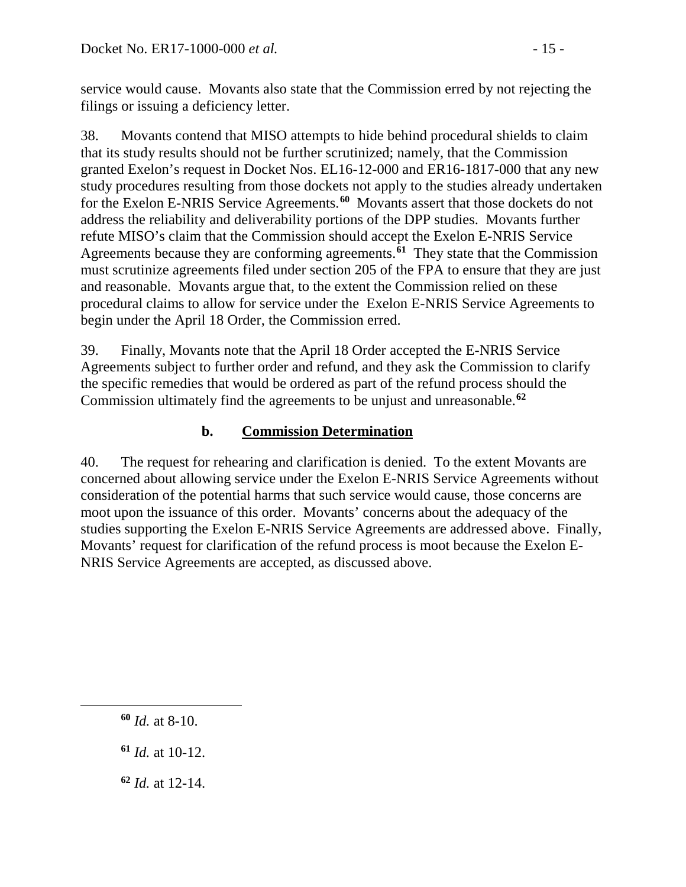service would cause. Movants also state that the Commission erred by not rejecting the filings or issuing a deficiency letter.

38. Movants contend that MISO attempts to hide behind procedural shields to claim that its study results should not be further scrutinized; namely, that the Commission granted Exelon's request in Docket Nos. EL16-12-000 and ER16-1817-000 that any new study procedures resulting from those dockets not apply to the studies already undertaken for the Exelon E-NRIS Service Agreements.**[60](#page-14-0)** Movants assert that those dockets do not address the reliability and deliverability portions of the DPP studies. Movants further refute MISO's claim that the Commission should accept the Exelon E-NRIS Service Agreements because they are conforming agreements.**[61](#page-14-1)** They state that the Commission must scrutinize agreements filed under section 205 of the FPA to ensure that they are just and reasonable. Movants argue that, to the extent the Commission relied on these procedural claims to allow for service under the Exelon E-NRIS Service Agreements to begin under the April 18 Order, the Commission erred.

39. Finally, Movants note that the April 18 Order accepted the E-NRIS Service Agreements subject to further order and refund, and they ask the Commission to clarify the specific remedies that would be ordered as part of the refund process should the Commission ultimately find the agreements to be unjust and unreasonable.**[62](#page-14-2)**

## **b. Commission Determination**

40. The request for rehearing and clarification is denied. To the extent Movants are concerned about allowing service under the Exelon E-NRIS Service Agreements without consideration of the potential harms that such service would cause, those concerns are moot upon the issuance of this order. Movants' concerns about the adequacy of the studies supporting the Exelon E-NRIS Service Agreements are addressed above. Finally, Movants' request for clarification of the refund process is moot because the Exelon E-NRIS Service Agreements are accepted, as discussed above.

<span id="page-14-2"></span><span id="page-14-1"></span><span id="page-14-0"></span> $\overline{a}$ 

**<sup>62</sup>** *Id.* at 12-14.

**<sup>60</sup>** *Id.* at 8-10.

**<sup>61</sup>** *Id.* at 10-12.